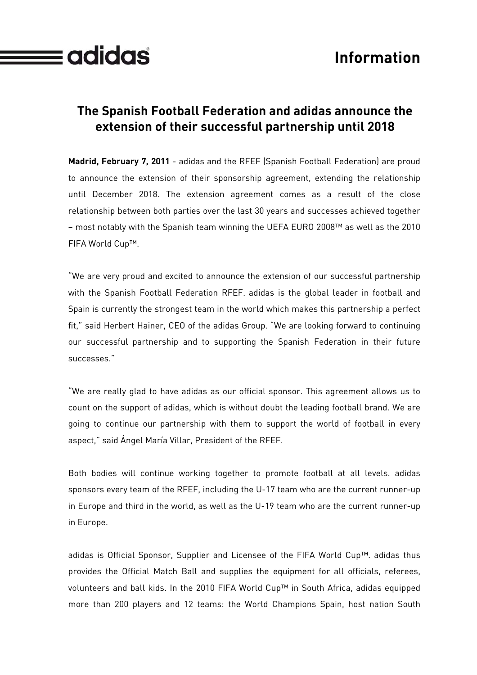

## **The Spanish Football Federation and adidas announce the extension of their successful partnership until 2018**

 $\equiv$ adidas

**Madrid, February 7, 2011** - adidas and the RFEF (Spanish Football Federation) are proud to announce the extension of their sponsorship agreement, extending the relationship until December 2018. The extension agreement comes as a result of the close relationship between both parties over the last 30 years and successes achieved together – most notably with the Spanish team winning the UEFA EURO 2008™ as well as the 2010 FIFA World Cup™.

"We are very proud and excited to announce the extension of our successful partnership with the Spanish Football Federation RFEF. adidas is the global leader in football and Spain is currently the strongest team in the world which makes this partnership a perfect fit," said Herbert Hainer, CEO of the adidas Group. "We are looking forward to continuing our successful partnership and to supporting the Spanish Federation in their future successes."

"We are really glad to have adidas as our official sponsor. This agreement allows us to count on the support of adidas, which is without doubt the leading football brand. We are going to continue our partnership with them to support the world of football in every aspect," said Ángel María Villar, President of the RFEF.

Both bodies will continue working together to promote football at all levels. adidas sponsors every team of the RFEF, including the U-17 team who are the current runner-up in Europe and third in the world, as well as the U-19 team who are the current runner-up in Europe.

adidas is Official Sponsor, Supplier and Licensee of the FIFA World Cup™. adidas thus provides the Official Match Ball and supplies the equipment for all officials, referees, volunteers and ball kids. In the 2010 FIFA World Cup™ in South Africa, adidas equipped more than 200 players and 12 teams: the World Champions Spain, host nation South